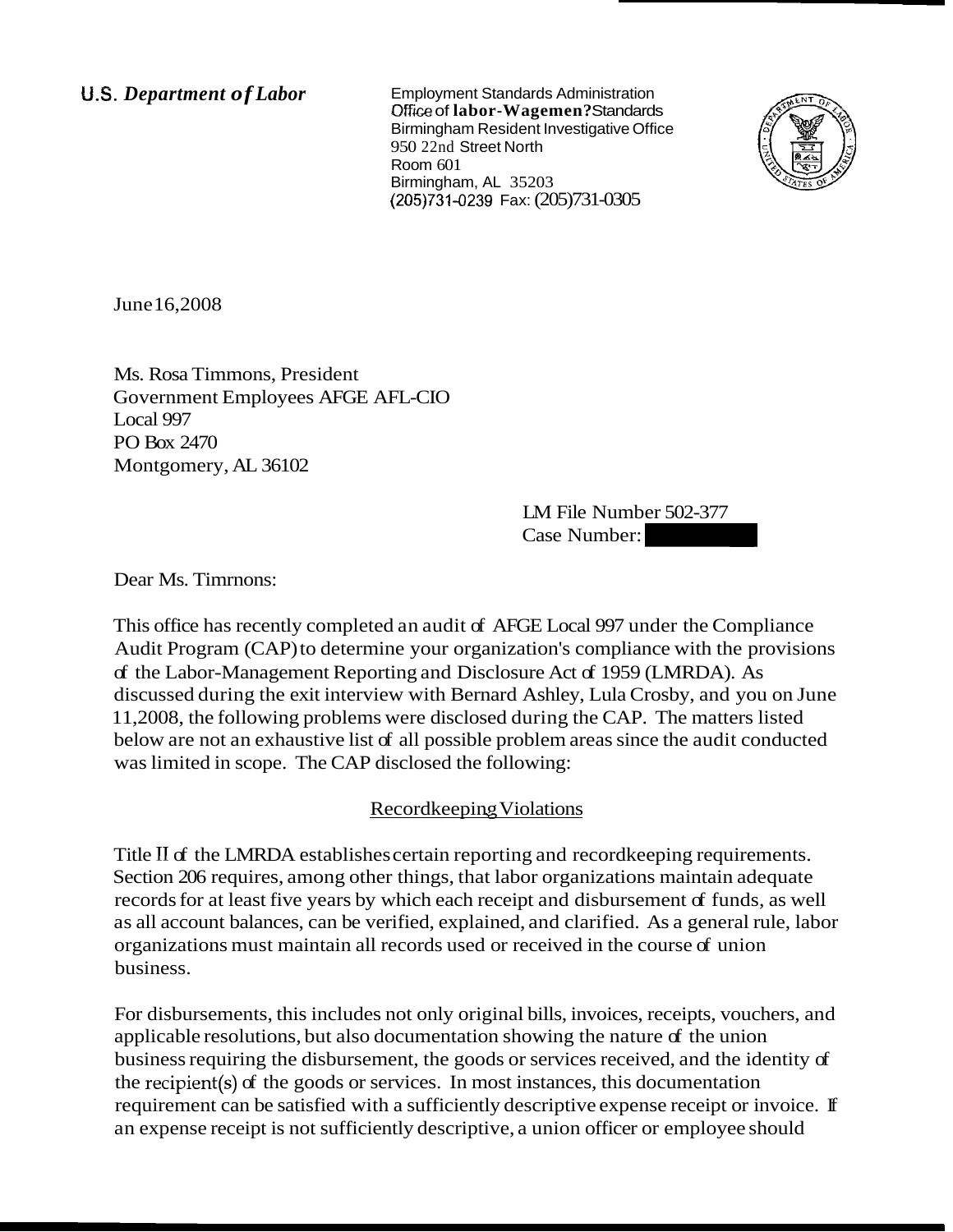**U.S. Department of Labor** Employment Standards Administration **Office of labor-Wagemen? Standards** Birmingham Resident Investigative Office 950 22nd Street North Room 601 Birmingham, AL 35203 (205)731-0239 Fax: (205)731-0305



June 16,2008

Ms. Rosa Timmons, President Government Employees AFGE AFL-CIO Local 997 PO Box 2470 Montgomery, AL 36102

LM File Number 502-377 LM File Number 502-377<br>Case Number:<br>-

Dear Ms. Timrnons:

This office has recently completed an audit of AFGE Local 997 under the Compliance Audit Program (CAP) to determine your organization's compliance with the provisions of the Labor-Management Reporting and Disclosure Act of 1959 (LMRDA). As discussed during the exit interview with Bernard Ashley, Lula Crosby, and you on June 11,2008, the following problems were disclosed during the CAP. The matters listed below are not an exhaustive list of all possible problem areas since the audit conducted was limited in scope. The CAP disclosed the following:

## Recordkeeping Violations

Title II of the LMRDA establishes certain reporting and record keeping requirements. Section 206 requires, among other things, that labor organizations maintain adequate records for at least five years by which each receipt and disbursement of funds, as well as all account balances, can be verified, explained, and clarified. As a general rule, labor organizations must maintain all records used or received in the course of union business.

For disbursements, this includes not only original bills, invoices, receipts, vouchers, and applicable resolutions, but also documentation showing the nature of the union business requiring the disbursement, the goods or services received, and the identity of the recipient(s) of the goods or services. In most instances, this documentation requirement can be satisfied with a sufficiently descriptive expense receipt or invoice. If an expense receipt is not sufficiently descriptive, a union officer or employee should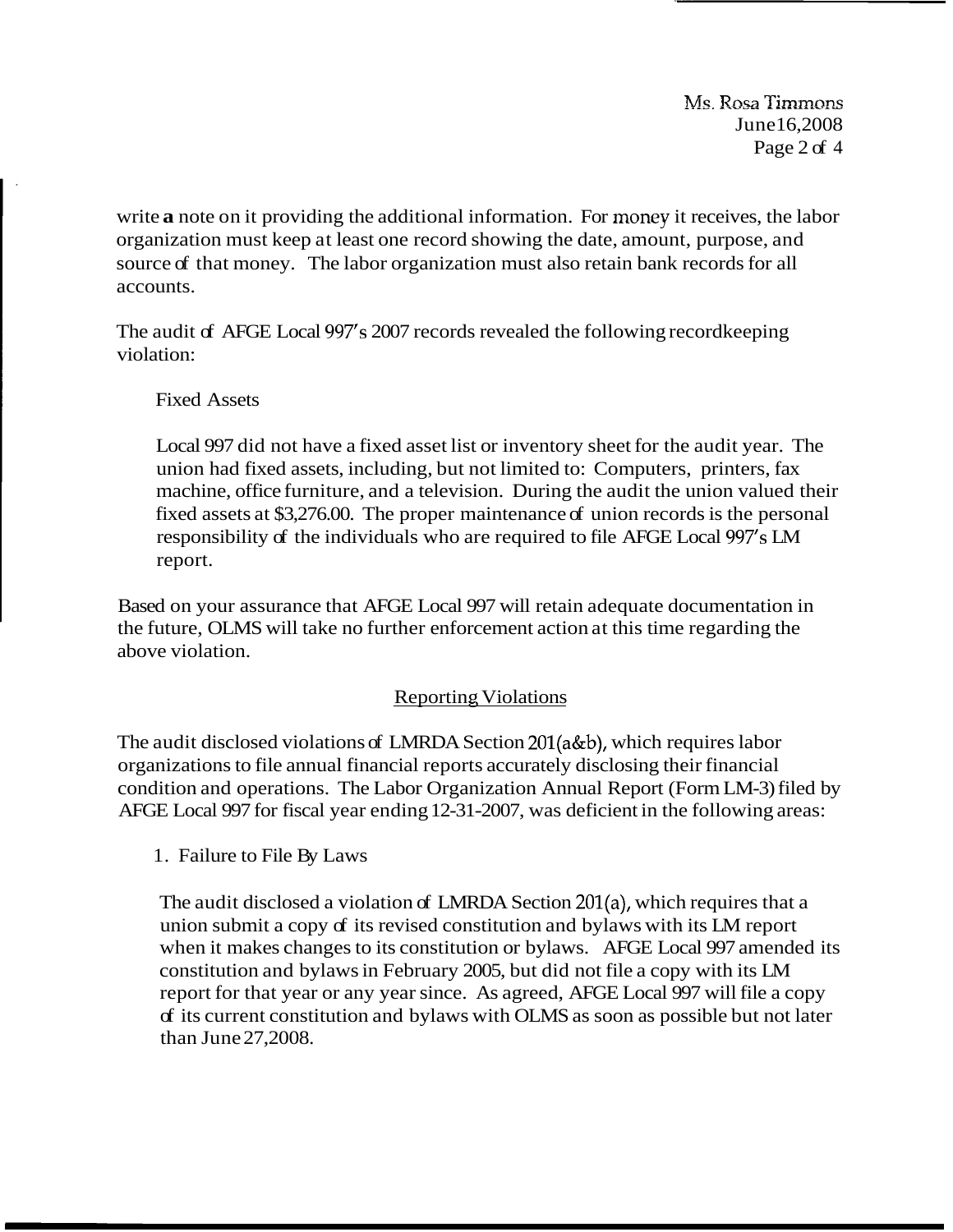**Ms. Rosa Timmons** June 16,2008 Page 2 of 4

write **a** note on it providing the additional information. For money it receives, the labor organization must keep at least one record showing the date, amount, purpose, and source of that money. The labor organization must also retain bank records for all accounts.

The audit of AFGE Local 997's 2007 records revealed the following recordkeeping violation:

Fixed Assets

Local 997 did not have a fixed asset list or inventory sheet for the audit year. The union had fixed assets, including, but not limited to: Computers, printers, fax machine, office furniture, and a television. During the audit the union valued their fixed assets at \$3,276.00. The proper maintenance of union records is the personal responsibility of the individuals who are required to file AFGE Local 997's LM report.

Based on your assurance that AFGE Local 997 will retain adequate documentation in the future, OLMS will take no further enforcement action at this time regarding the above violation.

# Reporting Violations

The audit disclosed violations of LMRDA Section 201(a&b), which requires labor organizations to file annual financial reports accurately disclosing their financial condition and operations. The Labor Organization Annual Report (Form LM-3) filed by AFGE Local 997 for fiscal year ending 12-31-2007, was deficient in the following areas:

1. Failure to File By Laws

The audit disclosed a violation of LMRDA Section 201(a), which requires that a union submit a copy of its revised constitution and bylaws with its LM report when it makes changes to its constitution or bylaws. AFGE Local 997 amended its constitution and bylaws in February 2005, but did not file a copy with its LM report for that year or any year since. As agreed, AFGE Local 997 will file a copy of its current constitution and bylaws with OLMS as soon as possible but not later than June 27,2008.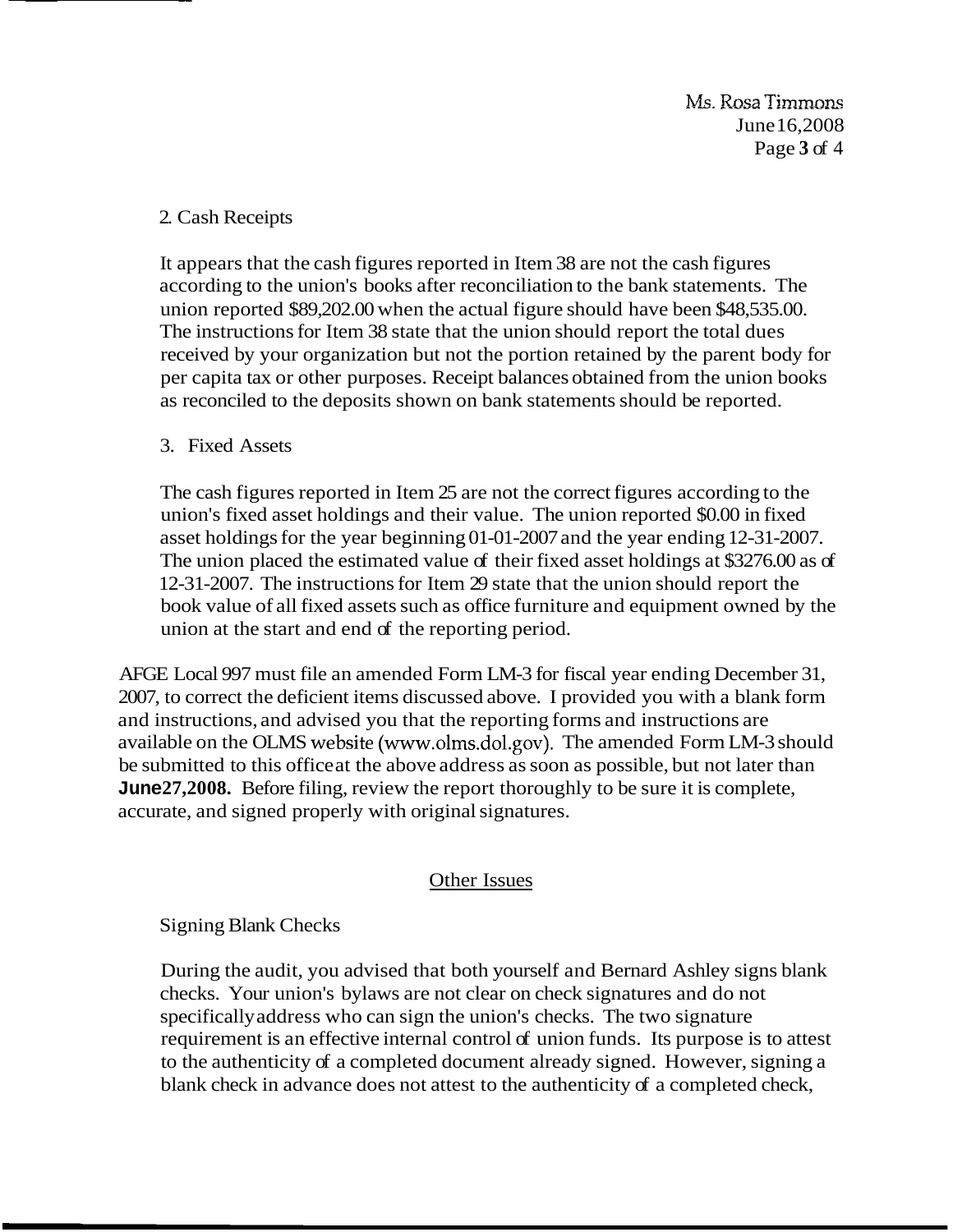Ms. Rosa Timmons June 16,2008 Page **3** of 4

## 2. Cash Receipts

It appears that the cash figures reported in Item 38 are not the cash figures according to the union's books after reconciliation to the bank statements. The union reported \$89,202.00 when the actual figure should have been \$48,535.00. The instructions for Item 38 state that the union should report the total dues received by your organization but not the portion retained by the parent body for per capita tax or other purposes. Receipt balances obtained from the union books as reconciled to the deposits shown on bank statements should be reported.

## 3. Fixed Assets

The cash figures reported in Item 25 are not the correct figures according to the union's fixed asset holdings and their value. The union reported \$0.00 in fixed asset holdings for the year beginning 01-01-2007 and the year ending 12-31-2007. The union placed the estimated value of their fixed asset holdings at \$3276.00 as of 12-31-2007. The instructions for Item 29 state that the union should report the book value of all fixed assets such as office furniture and equipment owned by the union at the start and end of the reporting period.

AFGE Local 997 must file an amended Form LM-3 for fiscal year ending December 31, 2007, to correct the deficient items discussed above. I provided you with a blank form and instructions, and advised you that the reporting forms and instructions are available on the OLMS website (www.olms.dol.gov). The amended Form LM-3 should be submitted to this office at the above address as soon as possible, but not later than **June 27, 2008.** Before filing, review the report thoroughly to be sure it is complete, accurate, and signed properly with original signatures.

## Other Issues

## Signing Blank Checks

During the audit, you advised that both yourself and Bernard Ashley signs blank checks. Your union's bylaws are not clear on check signatures and do not specifically address who can sign the union's checks. The two signature requirement is an effective internal control of union funds. Its purpose is to attest to the authenticity of a completed document already signed. However, signing a blank check in advance does not attest to the authenticity of a completed check,